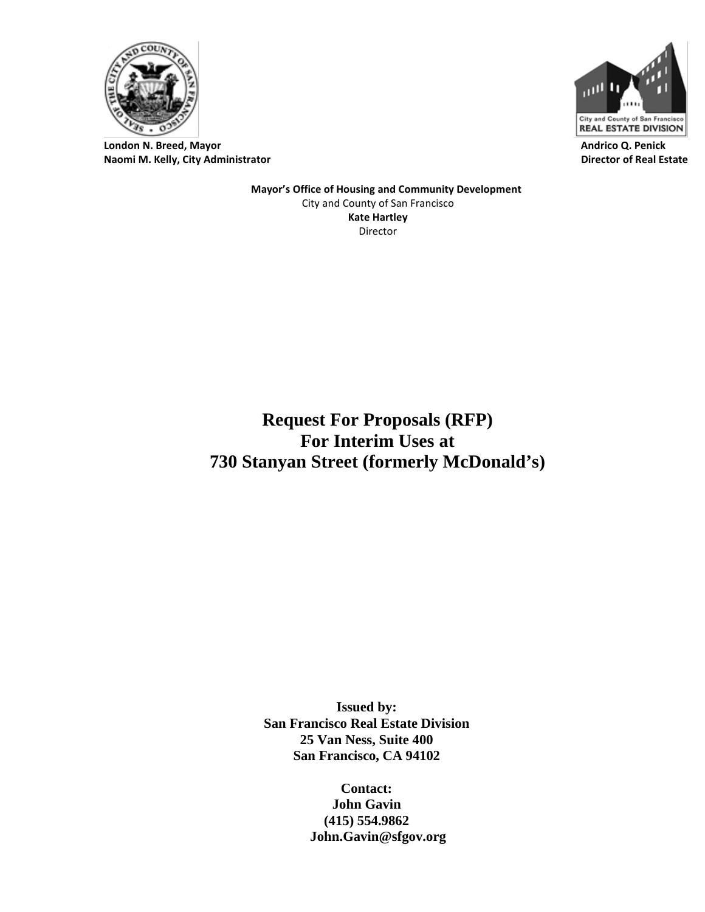

**London N. Breed, Mayor Naomi M. Kelly, City Administrator**



 **Andrico Q. Penick Director of Real Estate**

 **Mayor's Office of Housing and Community Development** City and County of San Francisco **Kate Hartley** Director

**Request For Proposals (RFP) For Interim Uses at 730 Stanyan Street (formerly McDonald's)**

> **Issued by: San Francisco Real Estate Division 25 Van Ness, Suite 400 San Francisco, CA 94102**

> > **Contact: John Gavin (415) 554.9862 John.Gavin@sfgov.org**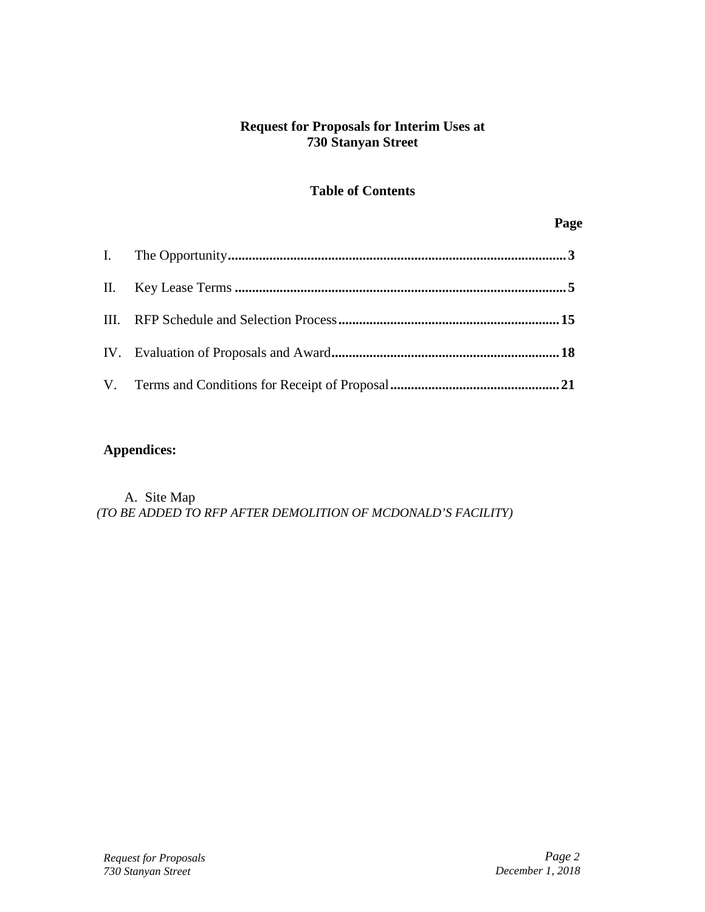## **Request for Proposals for Interim Uses at 730 Stanyan Street**

## **Table of Contents**

#### **Page**

## **Appendices:**

A. Site Map *(TO BE ADDED TO RFP AFTER DEMOLITION OF MCDONALD'S FACILITY)*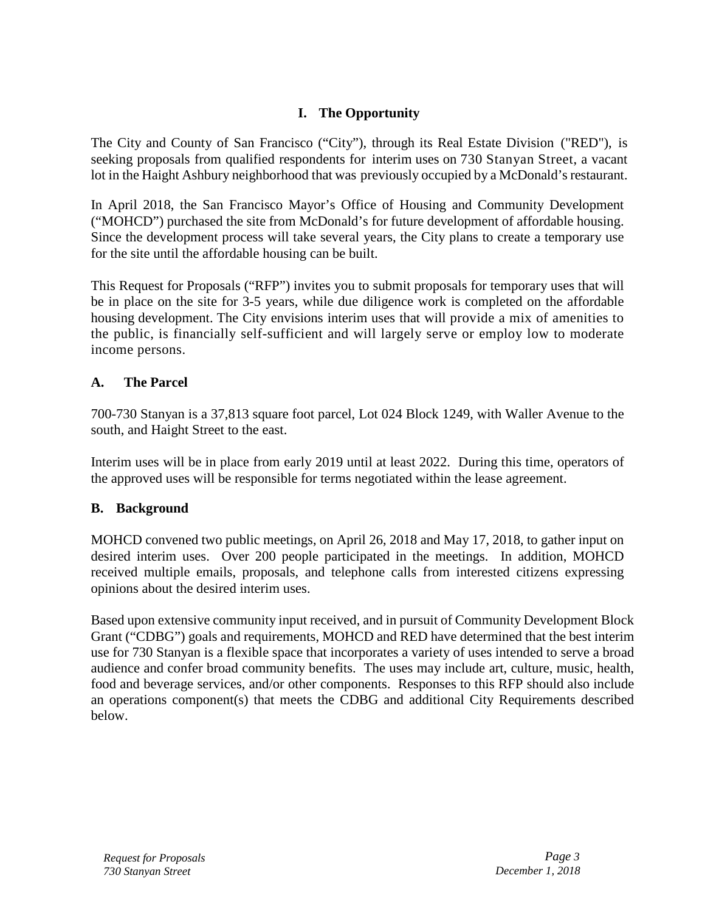## **I. The Opportunity**

<span id="page-2-0"></span>The City and County of San Francisco ("City"), through its Real Estate Division ("RED"), is seeking proposals from qualified respondents for interim uses on 730 Stanyan Street, a vacant lot in the Haight Ashbury neighborhood that was previously occupied by a McDonald's restaurant.

In April 2018, the San Francisco Mayor's Office of Housing and Community Development ("MOHCD") purchased the site from McDonald's for future development of affordable housing. Since the development process will take several years, the City plans to create a temporary use for the site until the affordable housing can be built.

This Request for Proposals ("RFP") invites you to submit proposals for temporary uses that will be in place on the site for 3-5 years, while due diligence work is completed on the affordable housing development. The City envisions interim uses that will provide a mix of amenities to the public, is financially self-sufficient and will largely serve or employ low to moderate income persons.

## **A. The Parcel**

700-730 Stanyan is a 37,813 square foot parcel, Lot 024 Block 1249, with Waller Avenue to the south, and Haight Street to the east.

Interim uses will be in place from early 2019 until at least 2022. During this time, operators of the approved uses will be responsible for terms negotiated within the lease agreement.

## **B. Background**

MOHCD convened two public meetings, on April 26, 2018 and May 17, 2018, to gather input on desired interim uses. Over 200 people participated in the meetings. In addition, MOHCD received multiple emails, proposals, and telephone calls from interested citizens expressing opinions about the desired interim uses.

Based upon extensive community input received, and in pursuit of Community Development Block Grant ("CDBG") goals and requirements, MOHCD and RED have determined that the best interim use for 730 Stanyan is a flexible space that incorporates a variety of uses intended to serve a broad audience and confer broad community benefits. The uses may include art, culture, music, health, food and beverage services, and/or other components. Responses to this RFP should also include an operations component(s) that meets the CDBG and additional City Requirements described below.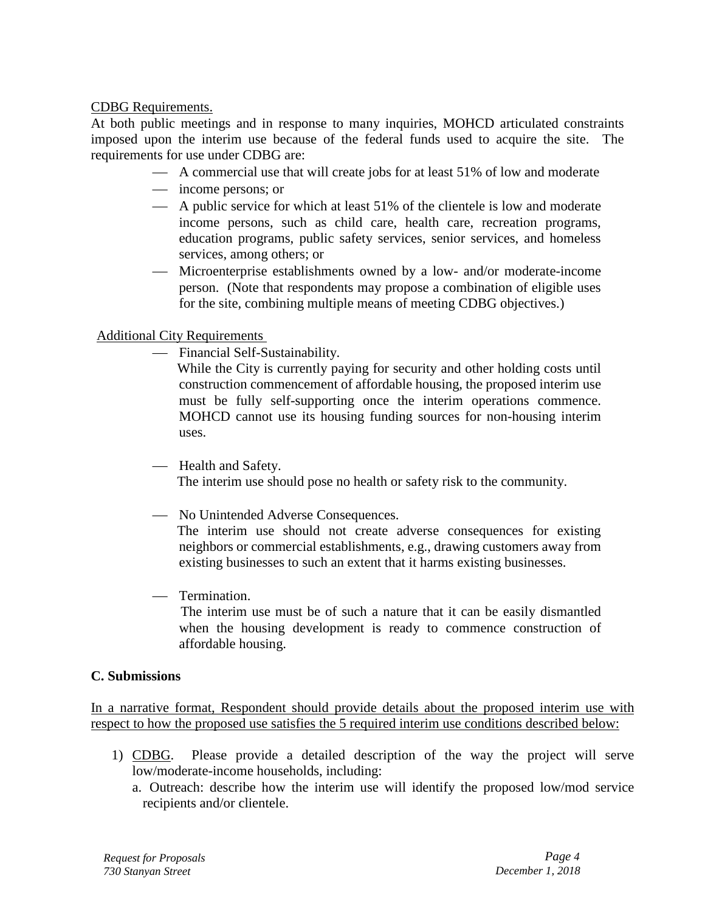CDBG Requirements.

At both public meetings and in response to many inquiries, MOHCD articulated constraints imposed upon the interim use because of the federal funds used to acquire the site. The requirements for use under CDBG are:

- A commercial use that will create jobs for at least 51% of low and moderate
- income persons; or
- A public service for which at least 51% of the clientele is low and moderate income persons, such as child care, health care, recreation programs, education programs, public safety services, senior services, and homeless services, among others; or
- Microenterprise establishments owned by a low- and/or moderate-income person. (Note that respondents may propose a combination of eligible uses for the site, combining multiple means of meeting CDBG objectives.)

## Additional City Requirements

Financial Self-Sustainability.

While the City is currently paying for security and other holding costs until construction commencement of affordable housing, the proposed interim use must be fully self-supporting once the interim operations commence. MOHCD cannot use its housing funding sources for non-housing interim uses.

- Health and Safety.

The interim use should pose no health or safety risk to the community.

No Unintended Adverse Consequences.

The interim use should not create adverse consequences for existing neighbors or commercial establishments, e.g., drawing customers away from existing businesses to such an extent that it harms existing businesses.

Termination.

 The interim use must be of such a nature that it can be easily dismantled when the housing development is ready to commence construction of affordable housing.

## **C. Submissions**

In a narrative format, Respondent should provide details about the proposed interim use with respect to how the proposed use satisfies the 5 required interim use conditions described below:

- 1) CDBG. Please provide a detailed description of the way the project will serve low/moderate-income households, including:
	- a. Outreach: describe how the interim use will identify the proposed low/mod service recipients and/or clientele.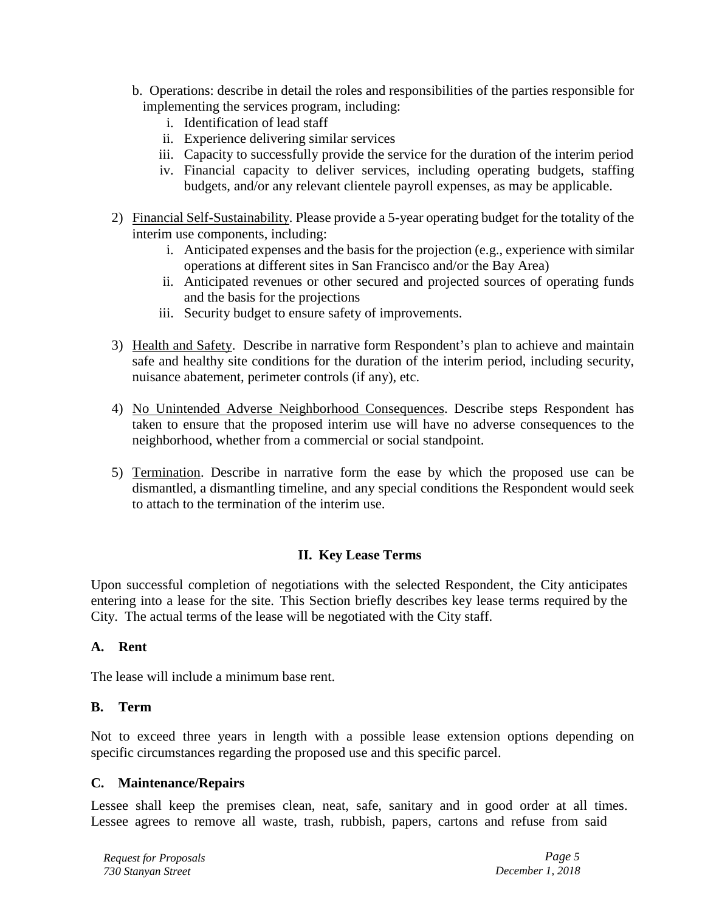- b. Operations: describe in detail the roles and responsibilities of the parties responsible for implementing the services program, including:
	- i. Identification of lead staff
	- ii. Experience delivering similar services
	- iii. Capacity to successfully provide the service for the duration of the interim period
	- iv. Financial capacity to deliver services, including operating budgets, staffing budgets, and/or any relevant clientele payroll expenses, as may be applicable.
- 2) Financial Self-Sustainability. Please provide a 5-year operating budget for the totality of the interim use components, including:
	- i. Anticipated expenses and the basis for the projection (e.g., experience with similar operations at different sites in San Francisco and/or the Bay Area)
	- ii. Anticipated revenues or other secured and projected sources of operating funds and the basis for the projections
	- iii. Security budget to ensure safety of improvements.
- 3) Health and Safety. Describe in narrative form Respondent's plan to achieve and maintain safe and healthy site conditions for the duration of the interim period, including security, nuisance abatement, perimeter controls (if any), etc.
- 4) No Unintended Adverse Neighborhood Consequences. Describe steps Respondent has taken to ensure that the proposed interim use will have no adverse consequences to the neighborhood, whether from a commercial or social standpoint.
- 5) Termination. Describe in narrative form the ease by which the proposed use can be dismantled, a dismantling timeline, and any special conditions the Respondent would seek to attach to the termination of the interim use.

## **II. Key Lease Terms**

<span id="page-4-0"></span>Upon successful completion of negotiations with the selected Respondent, the City anticipates entering into a lease for the site. This Section briefly describes key lease terms required by the City. The actual terms of the lease will be negotiated with the City staff.

## **A. Rent**

The lease will include a minimum base rent.

#### **B. Term**

Not to exceed three years in length with a possible lease extension options depending on specific circumstances regarding the proposed use and this specific parcel.

#### **C. Maintenance/Repairs**

Lessee shall keep the premises clean, neat, safe, sanitary and in good order at all times. Lessee agrees to remove all waste, trash, rubbish, papers, cartons and refuse from said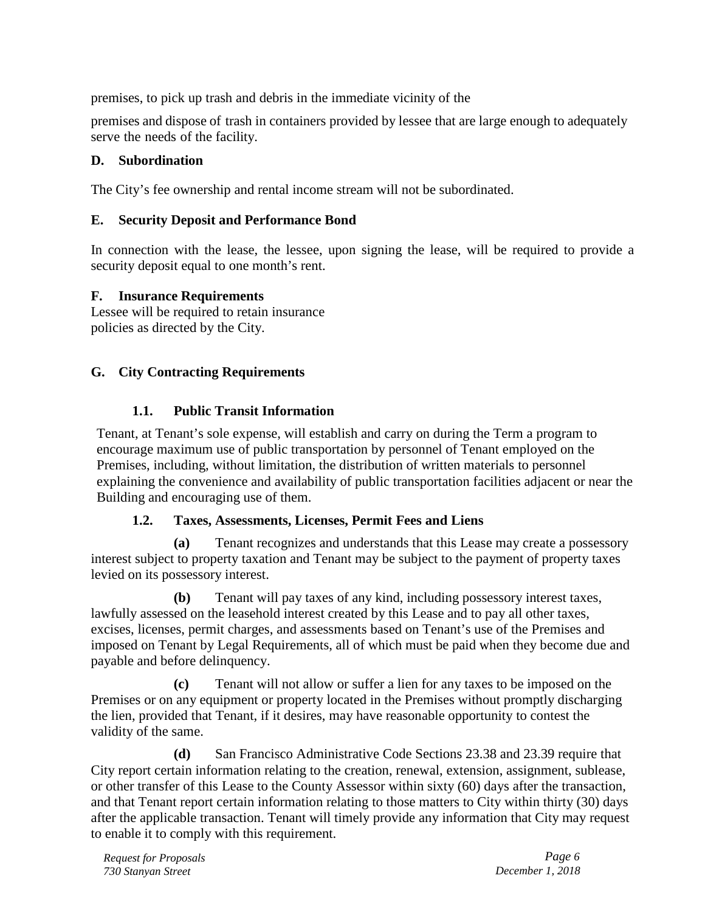premises, to pick up trash and debris in the immediate vicinity of the

premises and dispose of trash in containers provided by lessee that are large enough to adequately serve the needs of the facility.

## **D. Subordination**

The City's fee ownership and rental income stream will not be subordinated.

## **E. Security Deposit and Performance Bond**

In connection with the lease, the lessee, upon signing the lease, will be required to provide a security deposit equal to one month's rent.

## **F. Insurance Requirements**

Lessee will be required to retain insurance policies as directed by the City.

## **G. City Contracting Requirements**

## **1.1. Public Transit Information**

Tenant, at Tenant's sole expense, will establish and carry on during the Term a program to encourage maximum use of public transportation by personnel of Tenant employed on the Premises, including, without limitation, the distribution of written materials to personnel explaining the convenience and availability of public transportation facilities adjacent or near the Building and encouraging use of them.

## **1.2. Taxes, Assessments, Licenses, Permit Fees and Liens**

**(a)** Tenant recognizes and understands that this Lease may create a possessory interest subject to property taxation and Tenant may be subject to the payment of property taxes levied on its possessory interest.

**(b)** Tenant will pay taxes of any kind, including possessory interest taxes, lawfully assessed on the leasehold interest created by this Lease and to pay all other taxes, excises, licenses, permit charges, and assessments based on Tenant's use of the Premises and imposed on Tenant by Legal Requirements, all of which must be paid when they become due and payable and before delinquency.

**(c)** Tenant will not allow or suffer a lien for any taxes to be imposed on the Premises or on any equipment or property located in the Premises without promptly discharging the lien, provided that Tenant, if it desires, may have reasonable opportunity to contest the validity of the same.

**(d)** San Francisco Administrative Code Sections 23.38 and 23.39 require that City report certain information relating to the creation, renewal, extension, assignment, sublease, or other transfer of this Lease to the County Assessor within sixty (60) days after the transaction, and that Tenant report certain information relating to those matters to City within thirty (30) days after the applicable transaction. Tenant will timely provide any information that City may request to enable it to comply with this requirement.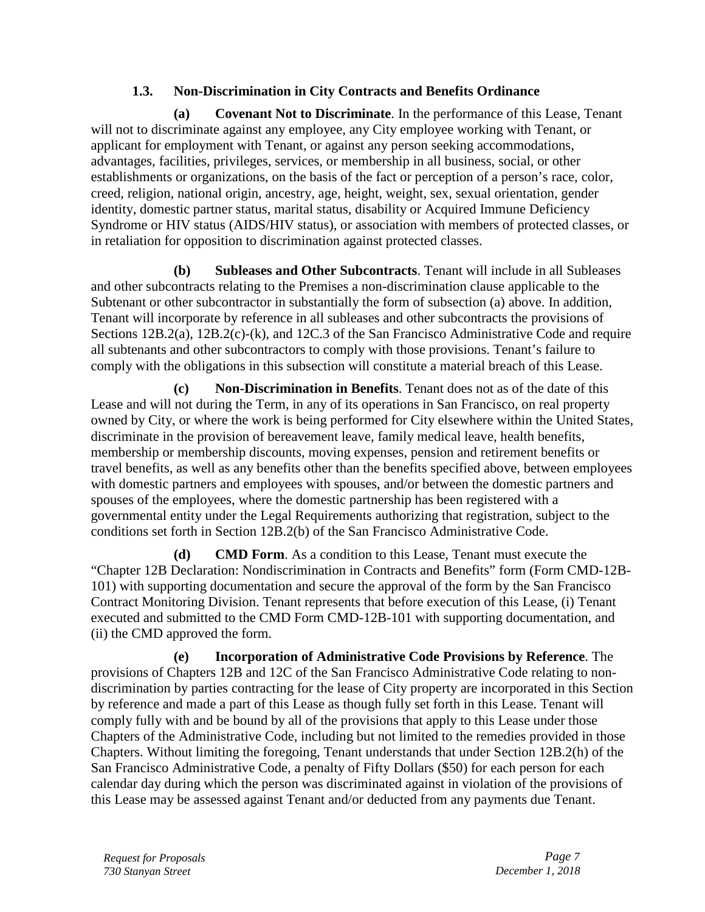## **1.3. Non-Discrimination in City Contracts and Benefits Ordinance**

**(a) Covenant Not to Discriminate**. In the performance of this Lease, Tenant will not to discriminate against any employee, any City employee working with Tenant, or applicant for employment with Tenant, or against any person seeking accommodations, advantages, facilities, privileges, services, or membership in all business, social, or other establishments or organizations, on the basis of the fact or perception of a person's race, color, creed, religion, national origin, ancestry, age, height, weight, sex, sexual orientation, gender identity, domestic partner status, marital status, disability or Acquired Immune Deficiency Syndrome or HIV status (AIDS/HIV status), or association with members of protected classes, or in retaliation for opposition to discrimination against protected classes.

**(b) Subleases and Other Subcontracts**. Tenant will include in all Subleases and other subcontracts relating to the Premises a non-discrimination clause applicable to the Subtenant or other subcontractor in substantially the form of subsection (a) above. In addition, Tenant will incorporate by reference in all subleases and other subcontracts the provisions of Sections 12B.2(a), 12B.2(c)-(k), and 12C.3 of the San Francisco Administrative Code and require all subtenants and other subcontractors to comply with those provisions. Tenant's failure to comply with the obligations in this subsection will constitute a material breach of this Lease.

**(c) Non-Discrimination in Benefits**. Tenant does not as of the date of this Lease and will not during the Term, in any of its operations in San Francisco, on real property owned by City, or where the work is being performed for City elsewhere within the United States, discriminate in the provision of bereavement leave, family medical leave, health benefits, membership or membership discounts, moving expenses, pension and retirement benefits or travel benefits, as well as any benefits other than the benefits specified above, between employees with domestic partners and employees with spouses, and/or between the domestic partners and spouses of the employees, where the domestic partnership has been registered with a governmental entity under the Legal Requirements authorizing that registration, subject to the conditions set forth in Section 12B.2(b) of the San Francisco Administrative Code.

**(d) CMD Form**. As a condition to this Lease, Tenant must execute the "Chapter 12B Declaration: Nondiscrimination in Contracts and Benefits" form (Form CMD-12B-101) with supporting documentation and secure the approval of the form by the San Francisco Contract Monitoring Division. Tenant represents that before execution of this Lease, (i) Tenant executed and submitted to the CMD Form CMD-12B-101 with supporting documentation, and (ii) the CMD approved the form.

**(e) Incorporation of Administrative Code Provisions by Reference**. The provisions of Chapters 12B and 12C of the San Francisco Administrative Code relating to nondiscrimination by parties contracting for the lease of City property are incorporated in this Section by reference and made a part of this Lease as though fully set forth in this Lease. Tenant will comply fully with and be bound by all of the provisions that apply to this Lease under those Chapters of the Administrative Code, including but not limited to the remedies provided in those Chapters. Without limiting the foregoing, Tenant understands that under Section 12B.2(h) of the San Francisco Administrative Code, a penalty of Fifty Dollars (\$50) for each person for each calendar day during which the person was discriminated against in violation of the provisions of this Lease may be assessed against Tenant and/or deducted from any payments due Tenant.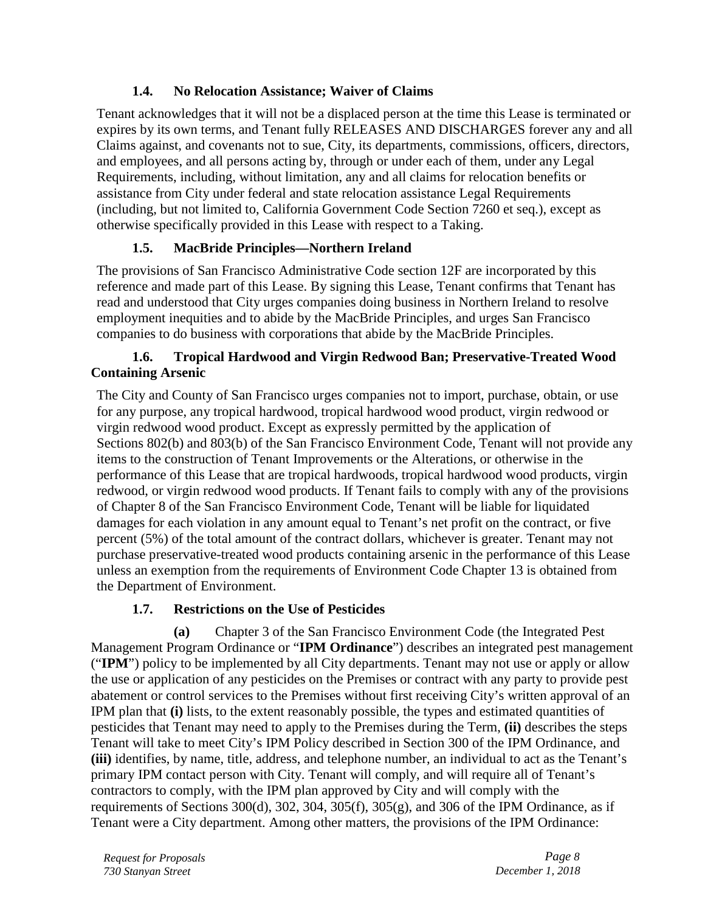## **1.4. No Relocation Assistance; Waiver of Claims**

Tenant acknowledges that it will not be a displaced person at the time this Lease is terminated or expires by its own terms, and Tenant fully RELEASES AND DISCHARGES forever any and all Claims against, and covenants not to sue, City, its departments, commissions, officers, directors, and employees, and all persons acting by, through or under each of them, under any Legal Requirements, including, without limitation, any and all claims for relocation benefits or assistance from City under federal and state relocation assistance Legal Requirements (including, but not limited to, California Government Code Section 7260 et seq.), except as otherwise specifically provided in this Lease with respect to a Taking.

# **1.5. MacBride Principles—Northern Ireland**

The provisions of San Francisco Administrative Code section 12F are incorporated by this reference and made part of this Lease. By signing this Lease, Tenant confirms that Tenant has read and understood that City urges companies doing business in Northern Ireland to resolve employment inequities and to abide by the MacBride Principles, and urges San Francisco companies to do business with corporations that abide by the MacBride Principles.

## **1.6. Tropical Hardwood and Virgin Redwood Ban; Preservative-Treated Wood Containing Arsenic**

The City and County of San Francisco urges companies not to import, purchase, obtain, or use for any purpose, any tropical hardwood, tropical hardwood wood product, virgin redwood or virgin redwood wood product. Except as expressly permitted by the application of Sections 802(b) and 803(b) of the San Francisco Environment Code, Tenant will not provide any items to the construction of Tenant Improvements or the Alterations, or otherwise in the performance of this Lease that are tropical hardwoods, tropical hardwood wood products, virgin redwood, or virgin redwood wood products. If Tenant fails to comply with any of the provisions of Chapter 8 of the San Francisco Environment Code, Tenant will be liable for liquidated damages for each violation in any amount equal to Tenant's net profit on the contract, or five percent (5%) of the total amount of the contract dollars, whichever is greater. Tenant may not purchase preservative-treated wood products containing arsenic in the performance of this Lease unless an exemption from the requirements of Environment Code Chapter 13 is obtained from the Department of Environment.

# **1.7. Restrictions on the Use of Pesticides**

**(a)** Chapter 3 of the San Francisco Environment Code (the Integrated Pest Management Program Ordinance or "**IPM Ordinance**") describes an integrated pest management ("**IPM**") policy to be implemented by all City departments. Tenant may not use or apply or allow the use or application of any pesticides on the Premises or contract with any party to provide pest abatement or control services to the Premises without first receiving City's written approval of an IPM plan that **(i)** lists, to the extent reasonably possible, the types and estimated quantities of pesticides that Tenant may need to apply to the Premises during the Term, **(ii)** describes the steps Tenant will take to meet City's IPM Policy described in Section 300 of the IPM Ordinance, and **(iii)** identifies, by name, title, address, and telephone number, an individual to act as the Tenant's primary IPM contact person with City. Tenant will comply, and will require all of Tenant's contractors to comply, with the IPM plan approved by City and will comply with the requirements of Sections 300(d), 302, 304, 305(f), 305(g), and 306 of the IPM Ordinance, as if Tenant were a City department. Among other matters, the provisions of the IPM Ordinance:

*Request for Proposals Page 8 730 Stanyan Street December 1, 2018*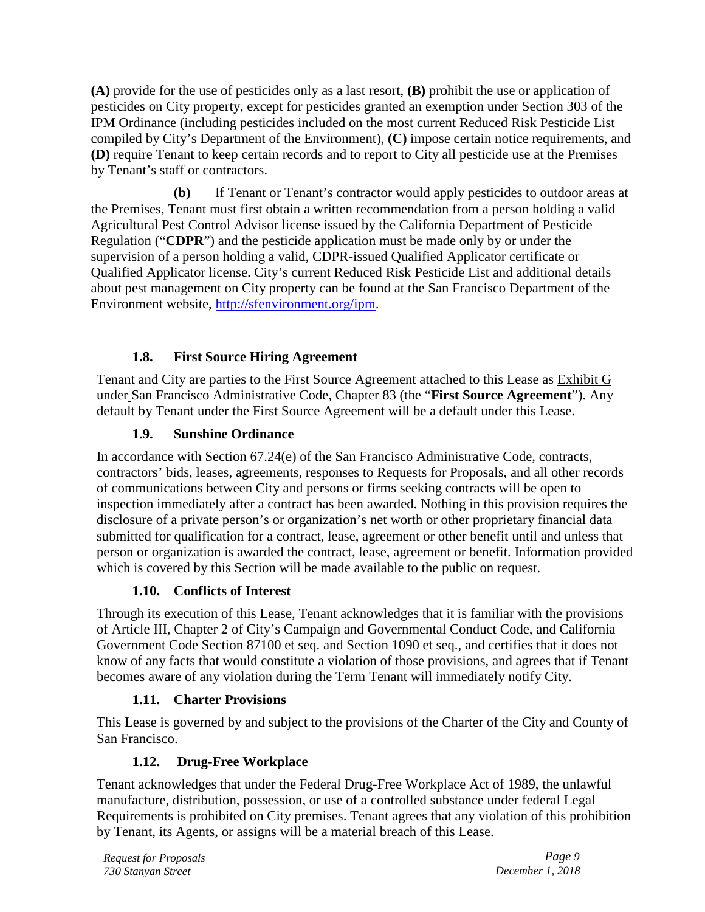**(A)** provide for the use of pesticides only as a last resort, **(B)** prohibit the use or application of pesticides on City property, except for pesticides granted an exemption under Section 303 of the IPM Ordinance (including pesticides included on the most current Reduced Risk Pesticide List compiled by City's Department of the Environment), **(C)** impose certain notice requirements, and **(D)** require Tenant to keep certain records and to report to City all pesticide use at the Premises by Tenant's staff or contractors.

**(b)** If Tenant or Tenant's contractor would apply pesticides to outdoor areas at the Premises, Tenant must first obtain a written recommendation from a person holding a valid Agricultural Pest Control Advisor license issued by the California Department of Pesticide Regulation ("**CDPR**") and the pesticide application must be made only by or under the supervision of a person holding a valid, CDPR-issued Qualified Applicator certificate or Qualified Applicator license. City's current Reduced Risk Pesticide List and additional details about pest management on City property can be found at the San Francisco Department of the Environment website, [http://sfenvironment.org/ipm.](http://sfenvironment.org/ipm)

# **1.8. First Source Hiring Agreement**

Tenant and City are parties to the First Source Agreement attached to this Lease as Exhibit G under San Francisco Administrative Code, Chapter 83 (the "**First Source Agreement**"). Any default by Tenant under the First Source Agreement will be a default under this Lease.

# **1.9. Sunshine Ordinance**

In accordance with Section 67.24(e) of the San Francisco Administrative Code, contracts, contractors' bids, leases, agreements, responses to Requests for Proposals, and all other records of communications between City and persons or firms seeking contracts will be open to inspection immediately after a contract has been awarded. Nothing in this provision requires the disclosure of a private person's or organization's net worth or other proprietary financial data submitted for qualification for a contract, lease, agreement or other benefit until and unless that person or organization is awarded the contract, lease, agreement or benefit. Information provided which is covered by this Section will be made available to the public on request.

# **1.10. Conflicts of Interest**

Through its execution of this Lease, Tenant acknowledges that it is familiar with the provisions of Article III, Chapter 2 of City's Campaign and Governmental Conduct Code, and California Government Code Section 87100 et seq. and Section 1090 et seq., and certifies that it does not know of any facts that would constitute a violation of those provisions, and agrees that if Tenant becomes aware of any violation during the Term Tenant will immediately notify City.

# **1.11. Charter Provisions**

This Lease is governed by and subject to the provisions of the Charter of the City and County of San Francisco.

# **1.12. Drug-Free Workplace**

Tenant acknowledges that under the Federal Drug-Free Workplace Act of 1989, the unlawful manufacture, distribution, possession, or use of a controlled substance under federal Legal Requirements is prohibited on City premises. Tenant agrees that any violation of this prohibition by Tenant, its Agents, or assigns will be a material breach of this Lease.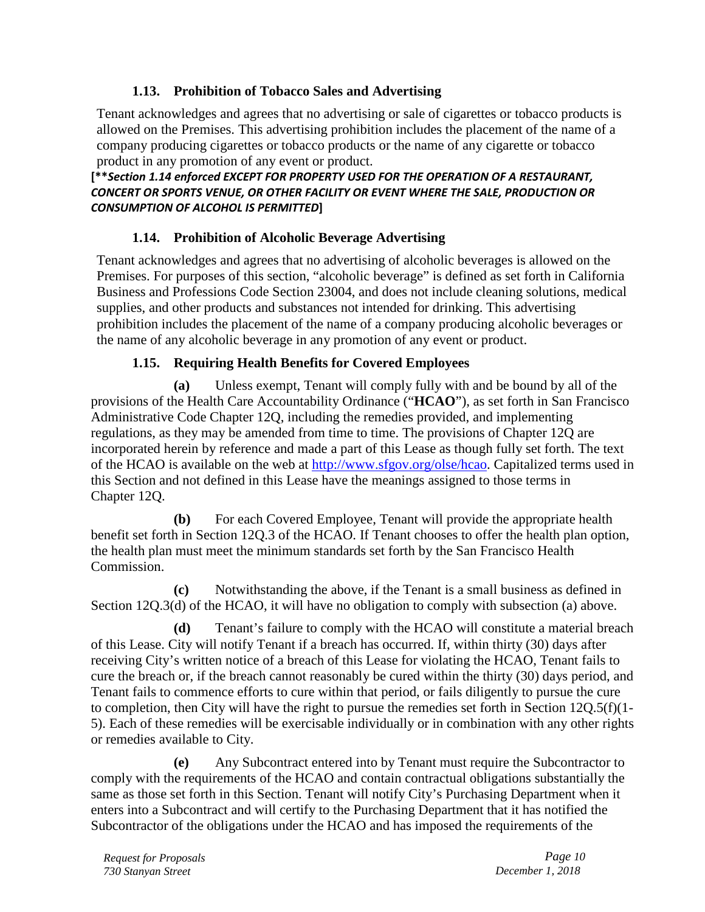## **1.13. Prohibition of Tobacco Sales and Advertising**

Tenant acknowledges and agrees that no advertising or sale of cigarettes or tobacco products is allowed on the Premises. This advertising prohibition includes the placement of the name of a company producing cigarettes or tobacco products or the name of any cigarette or tobacco product in any promotion of any event or product.

## **[\*\****Section 1.14 enforced EXCEPT FOR PROPERTY USED FOR THE OPERATION OF A RESTAURANT, CONCERT OR SPORTS VENUE, OR OTHER FACILITY OR EVENT WHERE THE SALE, PRODUCTION OR CONSUMPTION OF ALCOHOL IS PERMITTED***]**

# **1.14. Prohibition of Alcoholic Beverage Advertising**

Tenant acknowledges and agrees that no advertising of alcoholic beverages is allowed on the Premises. For purposes of this section, "alcoholic beverage" is defined as set forth in California Business and Professions Code Section 23004, and does not include cleaning solutions, medical supplies, and other products and substances not intended for drinking. This advertising prohibition includes the placement of the name of a company producing alcoholic beverages or the name of any alcoholic beverage in any promotion of any event or product.

## **1.15. Requiring Health Benefits for Covered Employees**

**(a)** Unless exempt, Tenant will comply fully with and be bound by all of the provisions of the Health Care Accountability Ordinance ("**HCAO**"), as set forth in San Francisco Administrative Code Chapter 12Q, including the remedies provided, and implementing regulations, as they may be amended from time to time. The provisions of Chapter 12Q are incorporated herein by reference and made a part of this Lease as though fully set forth. The text of the HCAO is available on the web at [http://www.sfgov.org/olse/hcao.](http://www.sfgov.org/olse/hcao) Capitalized terms used in this Section and not defined in this Lease have the meanings assigned to those terms in Chapter 12Q.

**(b)** For each Covered Employee, Tenant will provide the appropriate health benefit set forth in Section 12Q.3 of the HCAO. If Tenant chooses to offer the health plan option, the health plan must meet the minimum standards set forth by the San Francisco Health Commission.

**(c)** Notwithstanding the above, if the Tenant is a small business as defined in Section 12Q.3(d) of the HCAO, it will have no obligation to comply with subsection (a) above.

**(d)** Tenant's failure to comply with the HCAO will constitute a material breach of this Lease. City will notify Tenant if a breach has occurred. If, within thirty (30) days after receiving City's written notice of a breach of this Lease for violating the HCAO, Tenant fails to cure the breach or, if the breach cannot reasonably be cured within the thirty (30) days period, and Tenant fails to commence efforts to cure within that period, or fails diligently to pursue the cure to completion, then City will have the right to pursue the remedies set forth in Section  $120.5(f)(1-f)$ 5). Each of these remedies will be exercisable individually or in combination with any other rights or remedies available to City.

**(e)** Any Subcontract entered into by Tenant must require the Subcontractor to comply with the requirements of the HCAO and contain contractual obligations substantially the same as those set forth in this Section. Tenant will notify City's Purchasing Department when it enters into a Subcontract and will certify to the Purchasing Department that it has notified the Subcontractor of the obligations under the HCAO and has imposed the requirements of the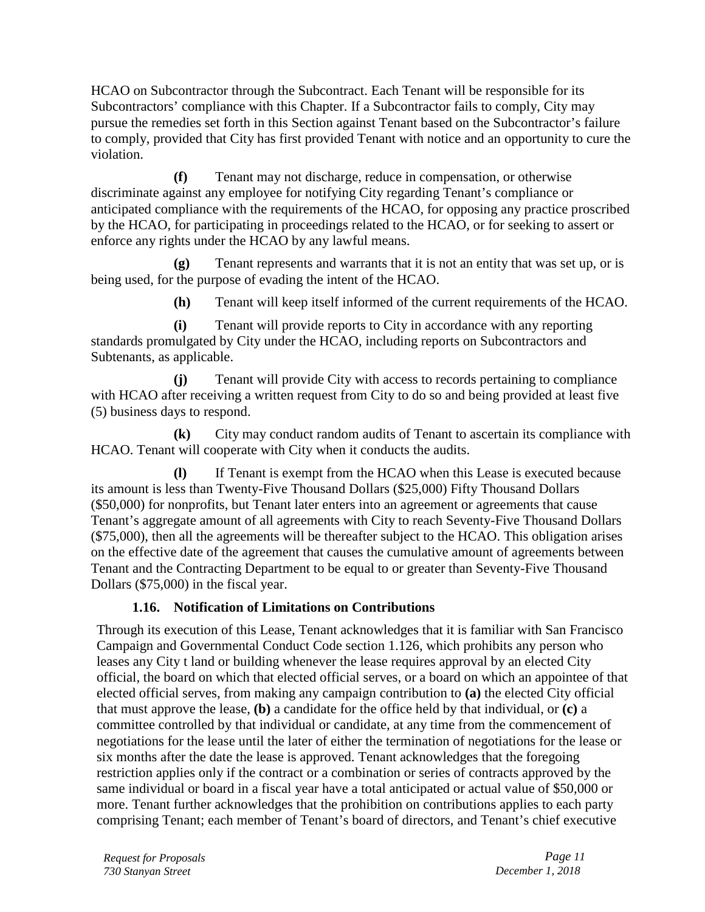HCAO on Subcontractor through the Subcontract. Each Tenant will be responsible for its Subcontractors' compliance with this Chapter. If a Subcontractor fails to comply, City may pursue the remedies set forth in this Section against Tenant based on the Subcontractor's failure to comply, provided that City has first provided Tenant with notice and an opportunity to cure the violation.

**(f)** Tenant may not discharge, reduce in compensation, or otherwise discriminate against any employee for notifying City regarding Tenant's compliance or anticipated compliance with the requirements of the HCAO, for opposing any practice proscribed by the HCAO, for participating in proceedings related to the HCAO, or for seeking to assert or enforce any rights under the HCAO by any lawful means.

**(g)** Tenant represents and warrants that it is not an entity that was set up, or is being used, for the purpose of evading the intent of the HCAO.

**(h)** Tenant will keep itself informed of the current requirements of the HCAO.

**(i)** Tenant will provide reports to City in accordance with any reporting standards promulgated by City under the HCAO, including reports on Subcontractors and Subtenants, as applicable.

**(j)** Tenant will provide City with access to records pertaining to compliance with HCAO after receiving a written request from City to do so and being provided at least five (5) business days to respond.

**(k)** City may conduct random audits of Tenant to ascertain its compliance with HCAO. Tenant will cooperate with City when it conducts the audits.

**(l)** If Tenant is exempt from the HCAO when this Lease is executed because its amount is less than Twenty-Five Thousand Dollars (\$25,000) Fifty Thousand Dollars (\$50,000) for nonprofits, but Tenant later enters into an agreement or agreements that cause Tenant's aggregate amount of all agreements with City to reach Seventy-Five Thousand Dollars (\$75,000), then all the agreements will be thereafter subject to the HCAO. This obligation arises on the effective date of the agreement that causes the cumulative amount of agreements between Tenant and the Contracting Department to be equal to or greater than Seventy-Five Thousand Dollars (\$75,000) in the fiscal year.

# **1.16. Notification of Limitations on Contributions**

Through its execution of this Lease, Tenant acknowledges that it is familiar with San Francisco Campaign and Governmental Conduct Code section 1.126, which prohibits any person who leases any City t land or building whenever the lease requires approval by an elected City official, the board on which that elected official serves, or a board on which an appointee of that elected official serves, from making any campaign contribution to **(a)** the elected City official that must approve the lease, **(b)** a candidate for the office held by that individual, or **(c)** a committee controlled by that individual or candidate, at any time from the commencement of negotiations for the lease until the later of either the termination of negotiations for the lease or six months after the date the lease is approved. Tenant acknowledges that the foregoing restriction applies only if the contract or a combination or series of contracts approved by the same individual or board in a fiscal year have a total anticipated or actual value of \$50,000 or more. Tenant further acknowledges that the prohibition on contributions applies to each party comprising Tenant; each member of Tenant's board of directors, and Tenant's chief executive

*Request for Proposals Page 11 730 Stanyan Street December 1, 2018*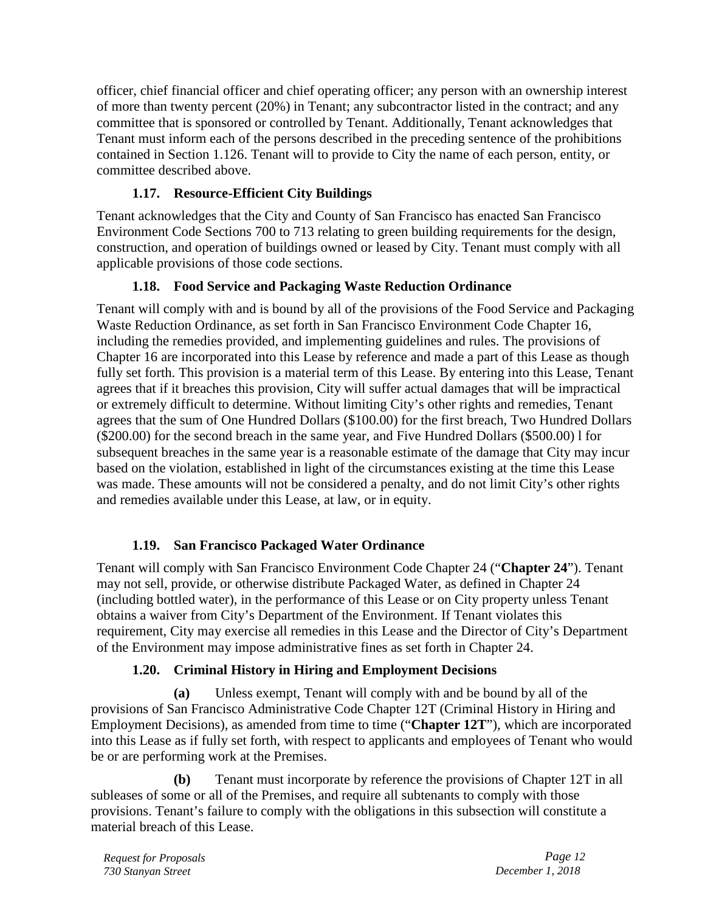officer, chief financial officer and chief operating officer; any person with an ownership interest of more than twenty percent (20%) in Tenant; any subcontractor listed in the contract; and any committee that is sponsored or controlled by Tenant. Additionally, Tenant acknowledges that Tenant must inform each of the persons described in the preceding sentence of the prohibitions contained in Section 1.126. Tenant will to provide to City the name of each person, entity, or committee described above.

## **1.17. Resource-Efficient City Buildings**

Tenant acknowledges that the City and County of San Francisco has enacted San Francisco Environment Code Sections 700 to 713 relating to green building requirements for the design, construction, and operation of buildings owned or leased by City. Tenant must comply with all applicable provisions of those code sections.

## **1.18. Food Service and Packaging Waste Reduction Ordinance**

Tenant will comply with and is bound by all of the provisions of the Food Service and Packaging Waste Reduction Ordinance, as set forth in San Francisco Environment Code Chapter 16, including the remedies provided, and implementing guidelines and rules. The provisions of Chapter 16 are incorporated into this Lease by reference and made a part of this Lease as though fully set forth. This provision is a material term of this Lease. By entering into this Lease, Tenant agrees that if it breaches this provision, City will suffer actual damages that will be impractical or extremely difficult to determine. Without limiting City's other rights and remedies, Tenant agrees that the sum of One Hundred Dollars (\$100.00) for the first breach, Two Hundred Dollars (\$200.00) for the second breach in the same year, and Five Hundred Dollars (\$500.00) l for subsequent breaches in the same year is a reasonable estimate of the damage that City may incur based on the violation, established in light of the circumstances existing at the time this Lease was made. These amounts will not be considered a penalty, and do not limit City's other rights and remedies available under this Lease, at law, or in equity.

# **1.19. San Francisco Packaged Water Ordinance**

Tenant will comply with San Francisco Environment Code Chapter 24 ("**Chapter 24**"). Tenant may not sell, provide, or otherwise distribute Packaged Water, as defined in Chapter 24 (including bottled water), in the performance of this Lease or on City property unless Tenant obtains a waiver from City's Department of the Environment. If Tenant violates this requirement, City may exercise all remedies in this Lease and the Director of City's Department of the Environment may impose administrative fines as set forth in Chapter 24.

# **1.20. Criminal History in Hiring and Employment Decisions**

**(a)** Unless exempt, Tenant will comply with and be bound by all of the provisions of San Francisco Administrative Code Chapter 12T (Criminal History in Hiring and Employment Decisions), as amended from time to time ("**Chapter 12T**"), which are incorporated into this Lease as if fully set forth, with respect to applicants and employees of Tenant who would be or are performing work at the Premises.

**(b)** Tenant must incorporate by reference the provisions of Chapter 12T in all subleases of some or all of the Premises, and require all subtenants to comply with those provisions. Tenant's failure to comply with the obligations in this subsection will constitute a material breach of this Lease.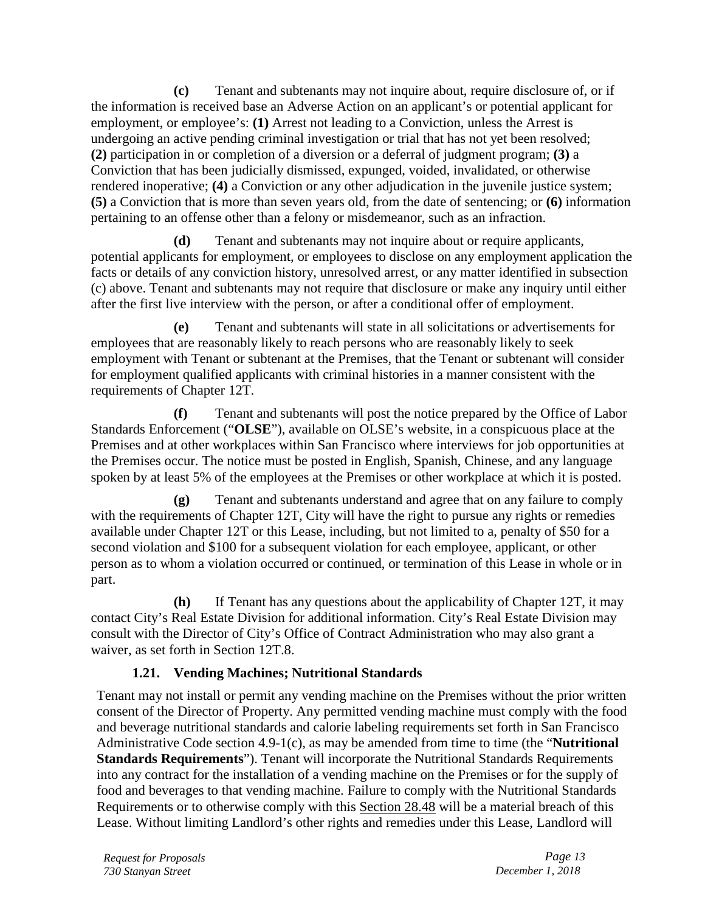**(c)** Tenant and subtenants may not inquire about, require disclosure of, or if the information is received base an Adverse Action on an applicant's or potential applicant for employment, or employee's: **(1)** Arrest not leading to a Conviction, unless the Arrest is undergoing an active pending criminal investigation or trial that has not yet been resolved; **(2)** participation in or completion of a diversion or a deferral of judgment program; **(3)** a Conviction that has been judicially dismissed, expunged, voided, invalidated, or otherwise rendered inoperative; **(4)** a Conviction or any other adjudication in the juvenile justice system; **(5)** a Conviction that is more than seven years old, from the date of sentencing; or **(6)** information pertaining to an offense other than a felony or misdemeanor, such as an infraction.

**(d)** Tenant and subtenants may not inquire about or require applicants, potential applicants for employment, or employees to disclose on any employment application the facts or details of any conviction history, unresolved arrest, or any matter identified in subsection (c) above. Tenant and subtenants may not require that disclosure or make any inquiry until either after the first live interview with the person, or after a conditional offer of employment.

**(e)** Tenant and subtenants will state in all solicitations or advertisements for employees that are reasonably likely to reach persons who are reasonably likely to seek employment with Tenant or subtenant at the Premises, that the Tenant or subtenant will consider for employment qualified applicants with criminal histories in a manner consistent with the requirements of Chapter 12T.

**(f)** Tenant and subtenants will post the notice prepared by the Office of Labor Standards Enforcement ("**OLSE**"), available on OLSE's website, in a conspicuous place at the Premises and at other workplaces within San Francisco where interviews for job opportunities at the Premises occur. The notice must be posted in English, Spanish, Chinese, and any language spoken by at least 5% of the employees at the Premises or other workplace at which it is posted.

**(g)** Tenant and subtenants understand and agree that on any failure to comply with the requirements of Chapter 12T, City will have the right to pursue any rights or remedies available under Chapter 12T or this Lease, including, but not limited to a, penalty of \$50 for a second violation and \$100 for a subsequent violation for each employee, applicant, or other person as to whom a violation occurred or continued, or termination of this Lease in whole or in part.

**(h)** If Tenant has any questions about the applicability of Chapter 12T, it may contact City's Real Estate Division for additional information. City's Real Estate Division may consult with the Director of City's Office of Contract Administration who may also grant a waiver, as set forth in Section 12T.8.

# **1.21. Vending Machines; Nutritional Standards**

Tenant may not install or permit any vending machine on the Premises without the prior written consent of the Director of Property. Any permitted vending machine must comply with the food and beverage nutritional standards and calorie labeling requirements set forth in San Francisco Administrative Code section 4.9-1(c), as may be amended from time to time (the "**Nutritional Standards Requirements**"). Tenant will incorporate the Nutritional Standards Requirements into any contract for the installation of a vending machine on the Premises or for the supply of food and beverages to that vending machine. Failure to comply with the Nutritional Standards Requirements or to otherwise comply with this Section 28.48 will be a material breach of this Lease. Without limiting Landlord's other rights and remedies under this Lease, Landlord will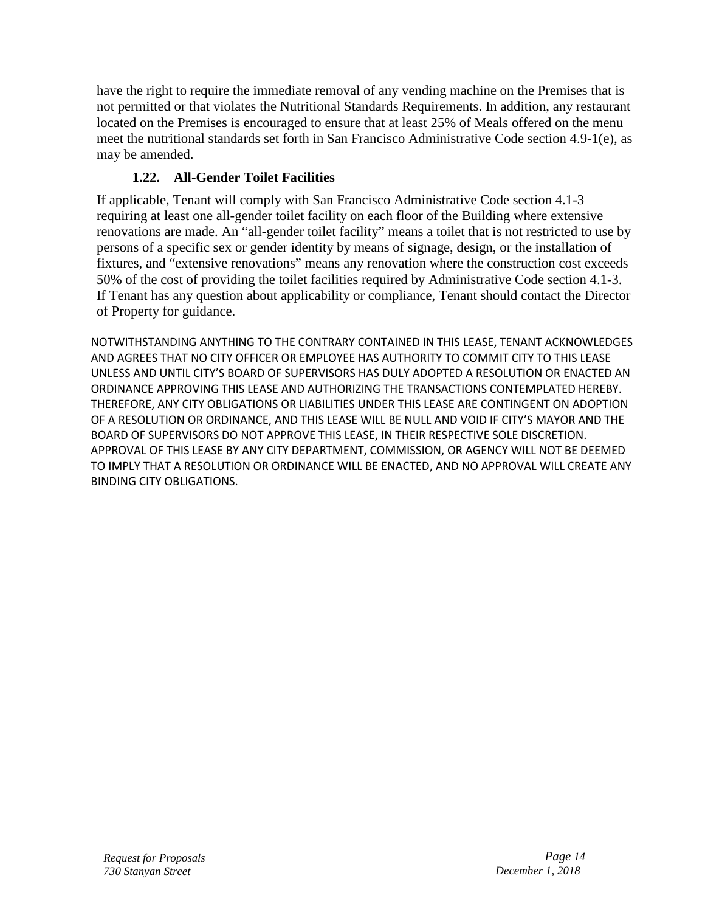have the right to require the immediate removal of any vending machine on the Premises that is not permitted or that violates the Nutritional Standards Requirements. In addition, any restaurant located on the Premises is encouraged to ensure that at least 25% of Meals offered on the menu meet the nutritional standards set forth in San Francisco Administrative Code section 4.9-1(e), as may be amended.

# **1.22. All-Gender Toilet Facilities**

If applicable, Tenant will comply with San Francisco Administrative Code section 4.1-3 requiring at least one all-gender toilet facility on each floor of the Building where extensive renovations are made. An "all-gender toilet facility" means a toilet that is not restricted to use by persons of a specific sex or gender identity by means of signage, design, or the installation of fixtures, and "extensive renovations" means any renovation where the construction cost exceeds 50% of the cost of providing the toilet facilities required by Administrative Code section 4.1-3. If Tenant has any question about applicability or compliance, Tenant should contact the Director of Property for guidance.

NOTWITHSTANDING ANYTHING TO THE CONTRARY CONTAINED IN THIS LEASE, TENANT ACKNOWLEDGES AND AGREES THAT NO CITY OFFICER OR EMPLOYEE HAS AUTHORITY TO COMMIT CITY TO THIS LEASE UNLESS AND UNTIL CITY'S BOARD OF SUPERVISORS HAS DULY ADOPTED A RESOLUTION OR ENACTED AN ORDINANCE APPROVING THIS LEASE AND AUTHORIZING THE TRANSACTIONS CONTEMPLATED HEREBY. THEREFORE, ANY CITY OBLIGATIONS OR LIABILITIES UNDER THIS LEASE ARE CONTINGENT ON ADOPTION OF A RESOLUTION OR ORDINANCE, AND THIS LEASE WILL BE NULL AND VOID IF CITY'S MAYOR AND THE BOARD OF SUPERVISORS DO NOT APPROVE THIS LEASE, IN THEIR RESPECTIVE SOLE DISCRETION. APPROVAL OF THIS LEASE BY ANY CITY DEPARTMENT, COMMISSION, OR AGENCY WILL NOT BE DEEMED TO IMPLY THAT A RESOLUTION OR ORDINANCE WILL BE ENACTED, AND NO APPROVAL WILL CREATE ANY BINDING CITY OBLIGATIONS.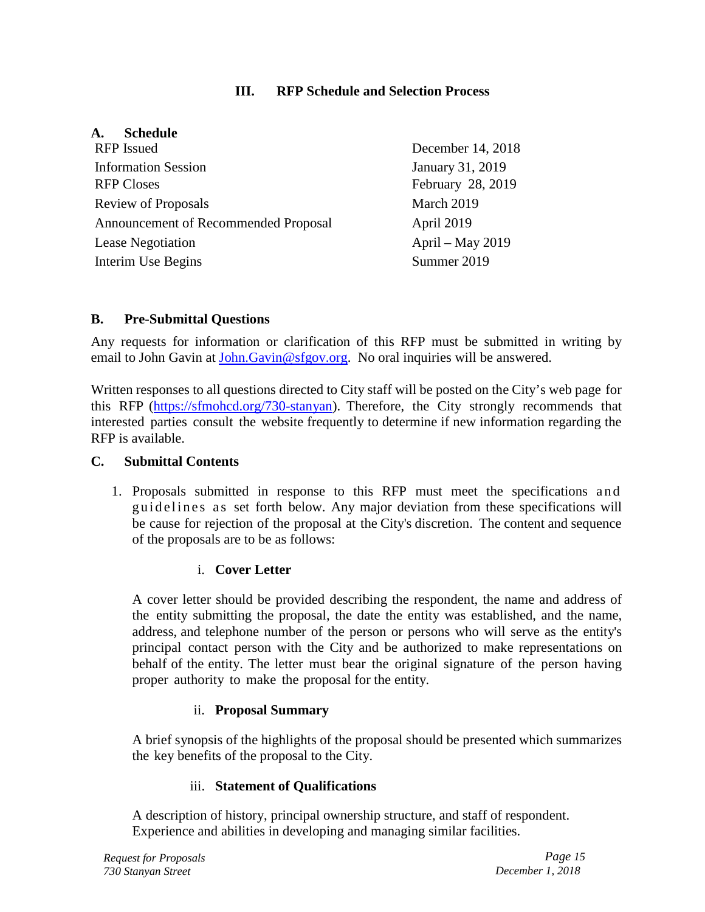## **III. RFP Schedule and Selection Process**

## **A. Schedule**

| <b>RFP</b> Issued                    | December 14, 2018 |
|--------------------------------------|-------------------|
| <b>Information Session</b>           | January 31, 2019  |
| <b>RFP Closes</b>                    | February 28, 2019 |
| Review of Proposals                  | March 2019        |
| Announcement of Recommended Proposal | April 2019        |
| <b>Lease Negotiation</b>             | April – May 2019  |
| Interim Use Begins                   | Summer 2019       |

## **B. Pre-Submittal Questions**

Any requests for information or clarification of this RFP must be submitted in writing by email to John Gavin at [John.Gavin@sfgov.org.](mailto:John.Gavin@sfgov.org) No oral inquiries will be answered.

Written responses to all questions directed to City staff will be posted on the City's web page for this RFP [\(https://sfmohcd.org/730-stanyan\)](https://sfmohcd.org/730-stanyan). Therefore, the City strongly recommends that interested parties consult the website frequently to determine if new information regarding the RFP is available.

## **C. Submittal Contents**

1. Proposals submitted in response to this RFP must meet the specifications and guidelines as set forth below. Any major deviation from these specifications will be cause for rejection of the proposal at the City's discretion. The content and sequence of the proposals are to be as follows:

## i. **Cover Letter**

A cover letter should be provided describing the respondent, the name and address of the entity submitting the proposal, the date the entity was established, and the name, address, and telephone number of the person or persons who will serve as the entity's principal contact person with the City and be authorized to make representations on behalf of the entity. The letter must bear the original signature of the person having proper authority to make the proposal for the entity.

## ii. **Proposal Summary**

A brief synopsis of the highlights of the proposal should be presented which summarizes the key benefits of the proposal to the City.

## iii. **Statement of Qualifications**

A description of history, principal ownership structure, and staff of respondent. Experience and abilities in developing and managing similar facilities.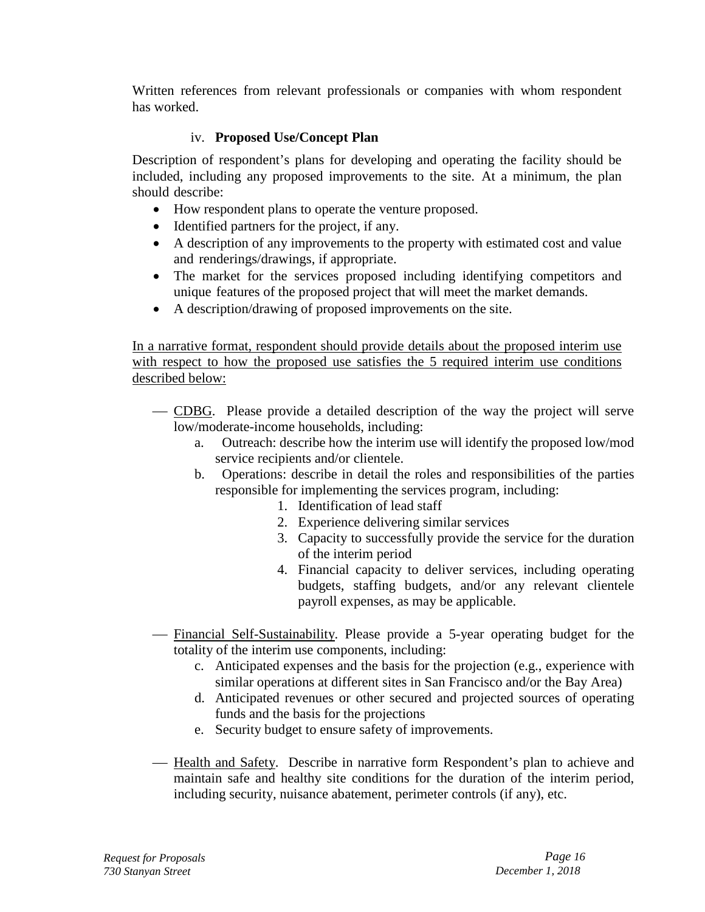Written references from relevant professionals or companies with whom respondent has worked.

## iv. **Proposed Use/Concept Plan**

Description of respondent's plans for developing and operating the facility should be included, including any proposed improvements to the site. At a minimum, the plan should describe:

- How respondent plans to operate the venture proposed.
- Identified partners for the project, if any.
- A description of any improvements to the property with estimated cost and value and renderings/drawings, if appropriate.
- The market for the services proposed including identifying competitors and unique features of the proposed project that will meet the market demands.
- A description/drawing of proposed improvements on the site.

In a narrative format, respondent should provide details about the proposed interim use with respect to how the proposed use satisfies the 5 required interim use conditions described below:

- CDBG. Please provide a detailed description of the way the project will serve low/moderate-income households, including:
	- a. Outreach: describe how the interim use will identify the proposed low/mod service recipients and/or clientele.
	- b. Operations: describe in detail the roles and responsibilities of the parties responsible for implementing the services program, including:
		- 1. Identification of lead staff
		- 2. Experience delivering similar services
		- 3. Capacity to successfully provide the service for the duration of the interim period
		- 4. Financial capacity to deliver services, including operating budgets, staffing budgets, and/or any relevant clientele payroll expenses, as may be applicable.
- Financial Self-Sustainability. Please provide a 5-year operating budget for the totality of the interim use components, including:
	- c. Anticipated expenses and the basis for the projection (e.g., experience with similar operations at different sites in San Francisco and/or the Bay Area)
	- d. Anticipated revenues or other secured and projected sources of operating funds and the basis for the projections
	- e. Security budget to ensure safety of improvements.
- Health and Safety. Describe in narrative form Respondent's plan to achieve and maintain safe and healthy site conditions for the duration of the interim period, including security, nuisance abatement, perimeter controls (if any), etc.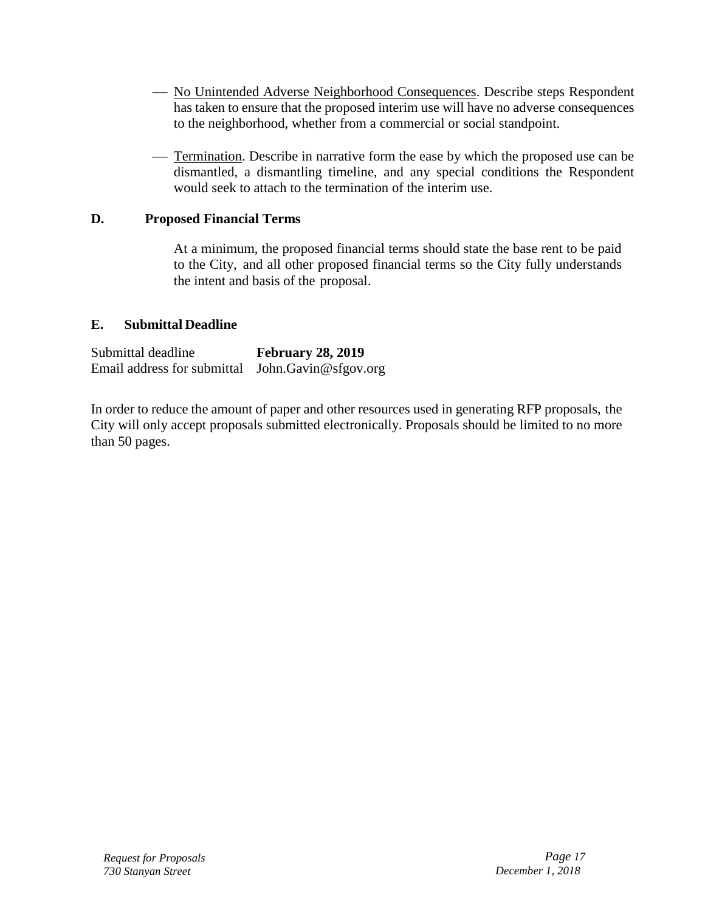- No Unintended Adverse Neighborhood Consequences. Describe steps Respondent has taken to ensure that the proposed interim use will have no adverse consequences to the neighborhood, whether from a commercial or social standpoint.
- Termination. Describe in narrative form the ease by which the proposed use can be dismantled, a dismantling timeline, and any special conditions the Respondent would seek to attach to the termination of the interim use.

#### **D. Proposed Financial Terms**

At a minimum, the proposed financial terms should state the base rent to be paid to the City, and all other proposed financial terms so the City fully understands the intent and basis of the proposal.

#### **E. Submittal Deadline**

| Submittal deadline                                 | <b>February 28, 2019</b> |
|----------------------------------------------------|--------------------------|
| Email address for submittal $John.Gavin@sfgov.org$ |                          |

In order to reduce the amount of paper and other resources used in generating RFP proposals, the City will only accept proposals submitted electronically. Proposals should be limited to no more than 50 pages.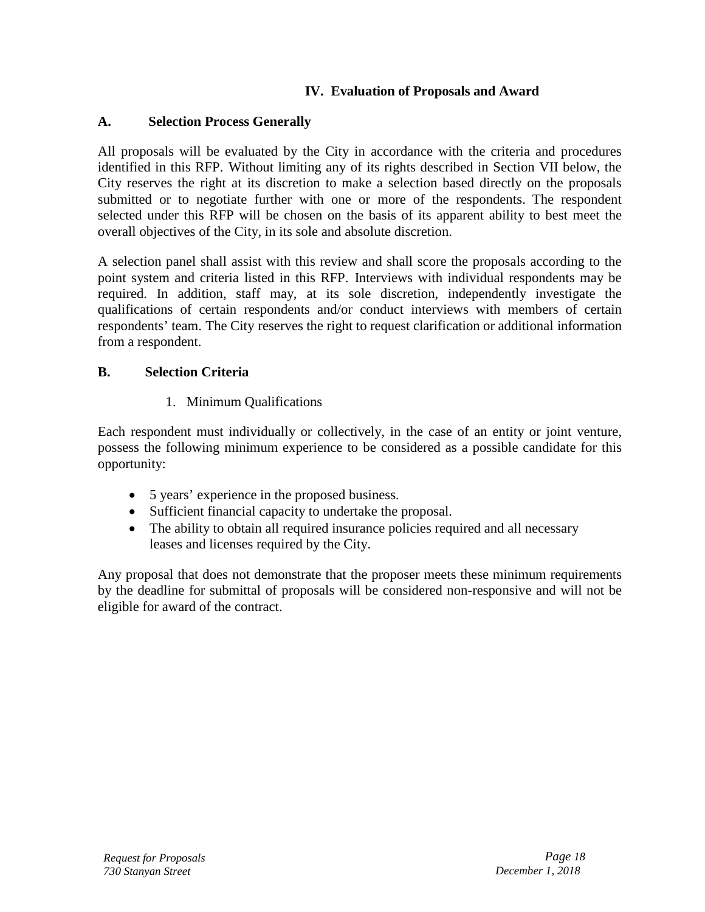## **IV. Evaluation of Proposals and Award**

## <span id="page-17-0"></span>**A. Selection Process Generally**

All proposals will be evaluated by the City in accordance with the criteria and procedures identified in this RFP. Without limiting any of its rights described in Section VII below, the City reserves the right at its discretion to make a selection based directly on the proposals submitted or to negotiate further with one or more of the respondents. The respondent selected under this RFP will be chosen on the basis of its apparent ability to best meet the overall objectives of the City, in its sole and absolute discretion.

A selection panel shall assist with this review and shall score the proposals according to the point system and criteria listed in this RFP. Interviews with individual respondents may be required. In addition, staff may, at its sole discretion, independently investigate the qualifications of certain respondents and/or conduct interviews with members of certain respondents' team. The City reserves the right to request clarification or additional information from a respondent.

## **B. Selection Criteria**

## 1. Minimum Qualifications

Each respondent must individually or collectively, in the case of an entity or joint venture, possess the following minimum experience to be considered as a possible candidate for this opportunity:

- 5 years' experience in the proposed business.
- Sufficient financial capacity to undertake the proposal.
- The ability to obtain all required insurance policies required and all necessary leases and licenses required by the City.

Any proposal that does not demonstrate that the proposer meets these minimum requirements by the deadline for submittal of proposals will be considered non-responsive and will not be eligible for award of the contract.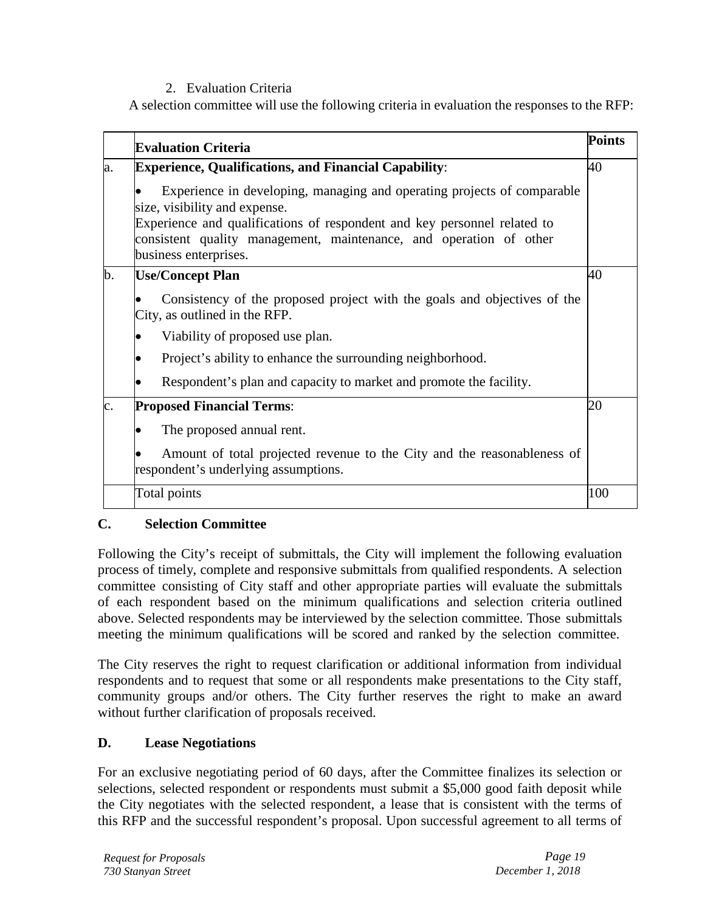## 2. Evaluation Criteria

A selection committee will use the following criteria in evaluation the responses to the RFP:

|     | <b>Evaluation Criteria</b>                                                                                                                                                                                                                                                          | <b>Points</b> |
|-----|-------------------------------------------------------------------------------------------------------------------------------------------------------------------------------------------------------------------------------------------------------------------------------------|---------------|
| la. | <b>Experience, Qualifications, and Financial Capability:</b>                                                                                                                                                                                                                        | 40            |
|     | Experience in developing, managing and operating projects of comparable<br>size, visibility and expense.<br>Experience and qualifications of respondent and key personnel related to<br>consistent quality management, maintenance, and operation of other<br>business enterprises. |               |
| b.  | <b>Use/Concept Plan</b>                                                                                                                                                                                                                                                             | 40            |
|     | Consistency of the proposed project with the goals and objectives of the<br>City, as outlined in the RFP.                                                                                                                                                                           |               |
|     | Viability of proposed use plan.                                                                                                                                                                                                                                                     |               |
|     | Project's ability to enhance the surrounding neighborhood.                                                                                                                                                                                                                          |               |
|     | Respondent's plan and capacity to market and promote the facility.                                                                                                                                                                                                                  |               |
| c.  | <b>Proposed Financial Terms:</b>                                                                                                                                                                                                                                                    | 20            |
|     | The proposed annual rent.                                                                                                                                                                                                                                                           |               |
|     | Amount of total projected revenue to the City and the reasonableness of<br>respondent's underlying assumptions.                                                                                                                                                                     |               |
|     | Total points                                                                                                                                                                                                                                                                        | 100           |

## **C. Selection Committee**

Following the City's receipt of submittals, the City will implement the following evaluation process of timely, complete and responsive submittals from qualified respondents. A selection committee consisting of City staff and other appropriate parties will evaluate the submittals of each respondent based on the minimum qualifications and selection criteria outlined above. Selected respondents may be interviewed by the selection committee. Those submittals meeting the minimum qualifications will be scored and ranked by the selection committee.

The City reserves the right to request clarification or additional information from individual respondents and to request that some or all respondents make presentations to the City staff, community groups and/or others. The City further reserves the right to make an award without further clarification of proposals received.

## **D. Lease Negotiations**

For an exclusive negotiating period of 60 days, after the Committee finalizes its selection or selections, selected respondent or respondents must submit a \$5,000 good faith deposit while the City negotiates with the selected respondent, a lease that is consistent with the terms of this RFP and the successful respondent's proposal. Upon successful agreement to all terms of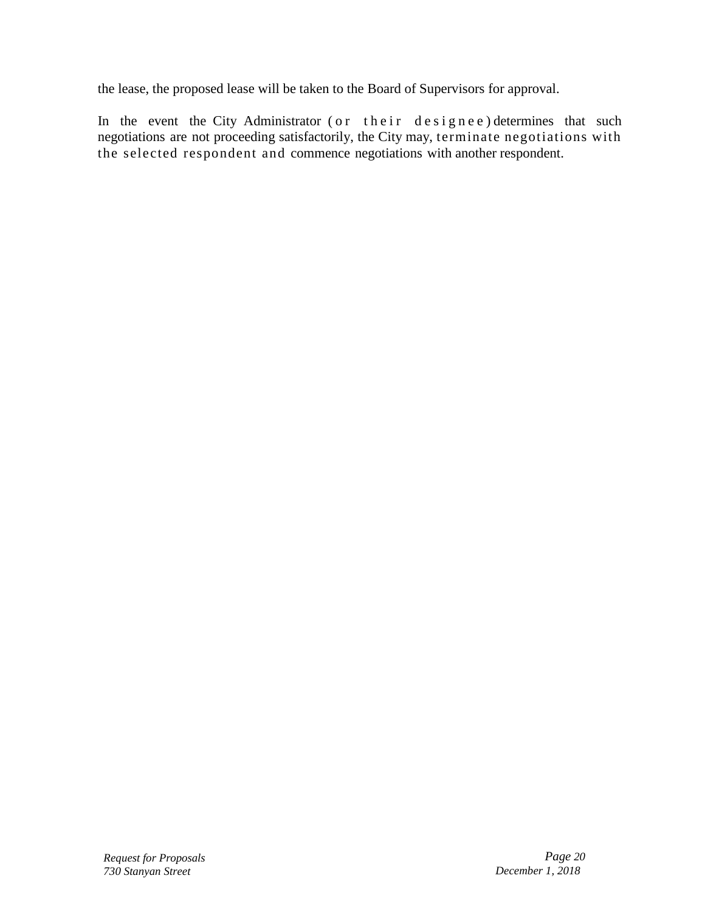the lease, the proposed lease will be taken to the Board of Supervisors for approval.

In the event the City Administrator ( or their designee ) determines that such negotiations are not proceeding satisfactorily, the City may, terminate negotiations with the selected respondent and commence negotiations with another respondent.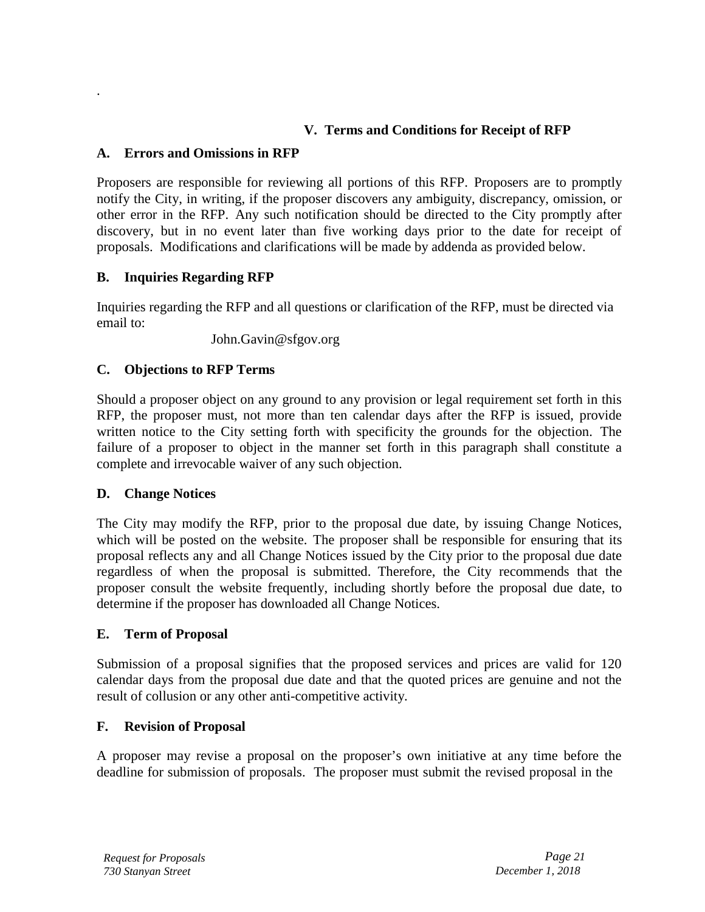## **V. Terms and Conditions for Receipt of RFP**

#### **A. Errors and Omissions in RFP**

.

Proposers are responsible for reviewing all portions of this RFP. Proposers are to promptly notify the City, in writing, if the proposer discovers any ambiguity, discrepancy, omission, or other error in the RFP. Any such notification should be directed to the City promptly after discovery, but in no event later than five working days prior to the date for receipt of proposals. Modifications and clarifications will be made by addenda as provided below.

## **B. Inquiries Regarding RFP**

Inquiries regarding the RFP and all questions or clarification of the RFP, must be directed via email to:

John.Gavin@sfgov.org

## **C. Objections to RFP Terms**

Should a proposer object on any ground to any provision or legal requirement set forth in this RFP, the proposer must, not more than ten calendar days after the RFP is issued, provide written notice to the City setting forth with specificity the grounds for the objection. The failure of a proposer to object in the manner set forth in this paragraph shall constitute a complete and irrevocable waiver of any such objection.

## **D. Change Notices**

The City may modify the RFP, prior to the proposal due date, by issuing Change Notices, which will be posted on the website. The proposer shall be responsible for ensuring that its proposal reflects any and all Change Notices issued by the City prior to the proposal due date regardless of when the proposal is submitted. Therefore, the City recommends that the proposer consult the website frequently, including shortly before the proposal due date, to determine if the proposer has downloaded all Change Notices.

#### **E. Term of Proposal**

Submission of a proposal signifies that the proposed services and prices are valid for 120 calendar days from the proposal due date and that the quoted prices are genuine and not the result of collusion or any other anti-competitive activity.

## **F. Revision of Proposal**

A proposer may revise a proposal on the proposer's own initiative at any time before the deadline for submission of proposals. The proposer must submit the revised proposal in the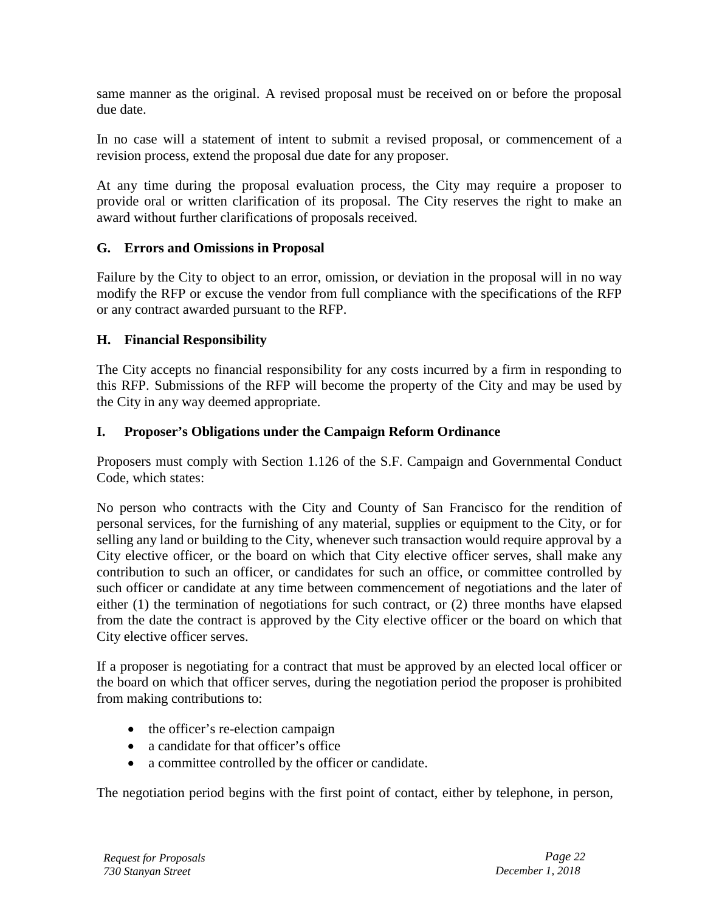same manner as the original. A revised proposal must be received on or before the proposal due date.

In no case will a statement of intent to submit a revised proposal, or commencement of a revision process, extend the proposal due date for any proposer.

At any time during the proposal evaluation process, the City may require a proposer to provide oral or written clarification of its proposal. The City reserves the right to make an award without further clarifications of proposals received.

#### **G. Errors and Omissions in Proposal**

Failure by the City to object to an error, omission, or deviation in the proposal will in no way modify the RFP or excuse the vendor from full compliance with the specifications of the RFP or any contract awarded pursuant to the RFP.

#### **H. Financial Responsibility**

The City accepts no financial responsibility for any costs incurred by a firm in responding to this RFP. Submissions of the RFP will become the property of the City and may be used by the City in any way deemed appropriate.

#### **I. Proposer's Obligations under the Campaign Reform Ordinance**

Proposers must comply with Section 1.126 of the S.F. Campaign and Governmental Conduct Code, which states:

No person who contracts with the City and County of San Francisco for the rendition of personal services, for the furnishing of any material, supplies or equipment to the City, or for selling any land or building to the City, whenever such transaction would require approval by a City elective officer, or the board on which that City elective officer serves, shall make any contribution to such an officer, or candidates for such an office, or committee controlled by such officer or candidate at any time between commencement of negotiations and the later of either (1) the termination of negotiations for such contract, or (2) three months have elapsed from the date the contract is approved by the City elective officer or the board on which that City elective officer serves.

If a proposer is negotiating for a contract that must be approved by an elected local officer or the board on which that officer serves, during the negotiation period the proposer is prohibited from making contributions to:

- the officer's re-election campaign
- a candidate for that officer's office
- a committee controlled by the officer or candidate.

The negotiation period begins with the first point of contact, either by telephone, in person,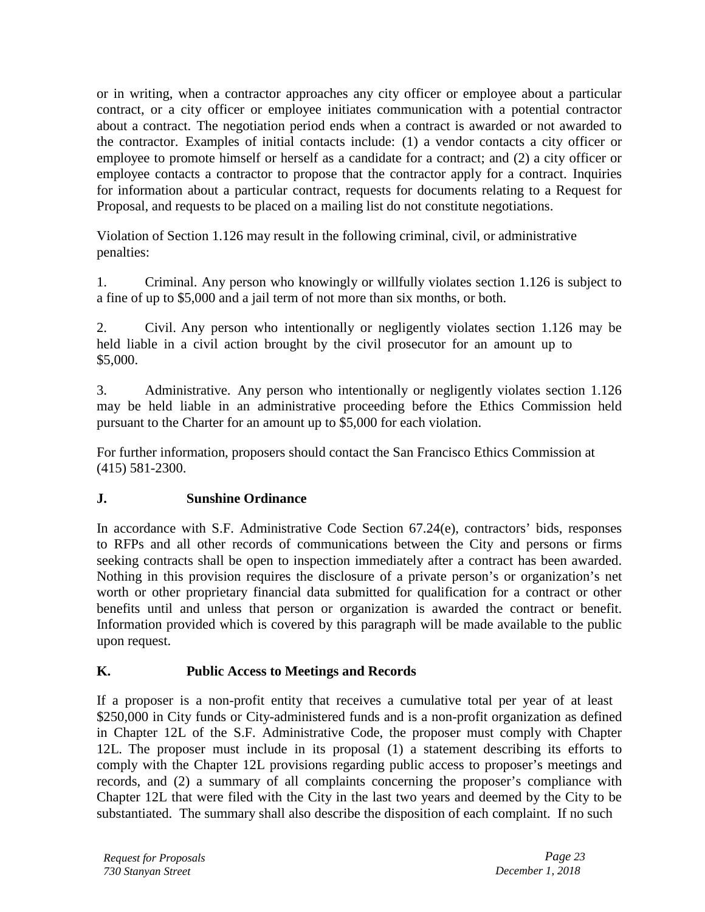or in writing, when a contractor approaches any city officer or employee about a particular contract, or a city officer or employee initiates communication with a potential contractor about a contract. The negotiation period ends when a contract is awarded or not awarded to the contractor. Examples of initial contacts include: (1) a vendor contacts a city officer or employee to promote himself or herself as a candidate for a contract; and (2) a city officer or employee contacts a contractor to propose that the contractor apply for a contract. Inquiries for information about a particular contract, requests for documents relating to a Request for Proposal, and requests to be placed on a mailing list do not constitute negotiations.

Violation of Section 1.126 may result in the following criminal, civil, or administrative penalties:

1. Criminal. Any person who knowingly or willfully violates section 1.126 is subject to a fine of up to \$5,000 and a jail term of not more than six months, or both.

2. Civil. Any person who intentionally or negligently violates section 1.126 may be held liable in a civil action brought by the civil prosecutor for an amount up to \$5,000.

3. Administrative. Any person who intentionally or negligently violates section 1.126 may be held liable in an administrative proceeding before the Ethics Commission held pursuant to the Charter for an amount up to \$5,000 for each violation.

For further information, proposers should contact the San Francisco Ethics Commission at (415) 581-2300.

## **J. Sunshine Ordinance**

In accordance with S.F. Administrative Code Section 67.24(e), contractors' bids, responses to RFPs and all other records of communications between the City and persons or firms seeking contracts shall be open to inspection immediately after a contract has been awarded. Nothing in this provision requires the disclosure of a private person's or organization's net worth or other proprietary financial data submitted for qualification for a contract or other benefits until and unless that person or organization is awarded the contract or benefit. Information provided which is covered by this paragraph will be made available to the public upon request.

## **K. Public Access to Meetings and Records**

If a proposer is a non-profit entity that receives a cumulative total per year of at least \$250,000 in City funds or City-administered funds and is a non-profit organization as defined in Chapter 12L of the S.F. Administrative Code, the proposer must comply with Chapter 12L. The proposer must include in its proposal (1) a statement describing its efforts to comply with the Chapter 12L provisions regarding public access to proposer's meetings and records, and (2) a summary of all complaints concerning the proposer's compliance with Chapter 12L that were filed with the City in the last two years and deemed by the City to be substantiated. The summary shall also describe the disposition of each complaint. If no such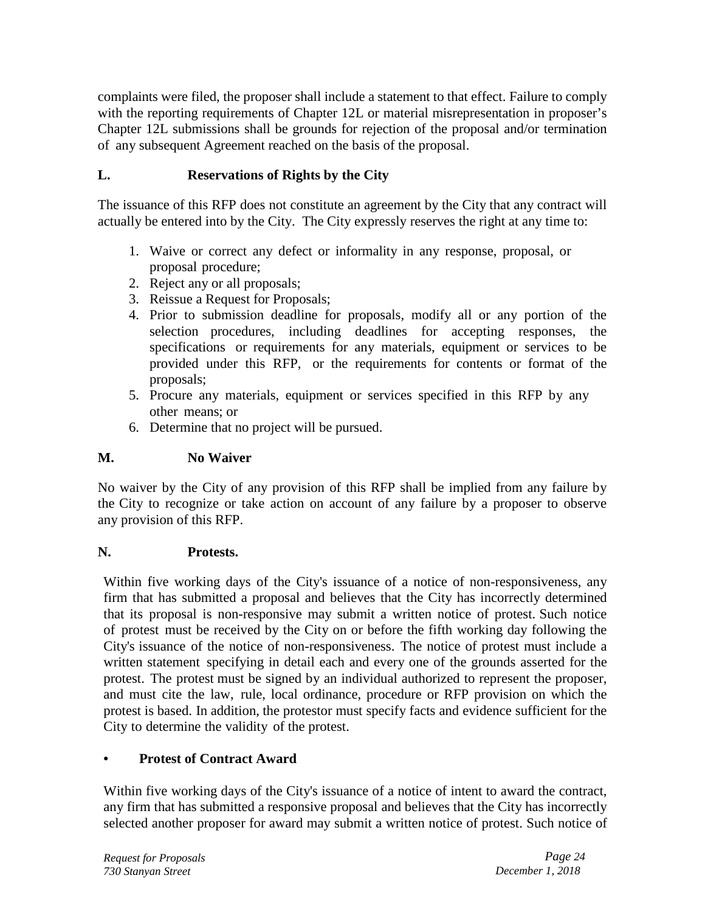complaints were filed, the proposer shall include a statement to that effect. Failure to comply with the reporting requirements of Chapter 12L or material misrepresentation in proposer's Chapter 12L submissions shall be grounds for rejection of the proposal and/or termination of any subsequent Agreement reached on the basis of the proposal.

## **L. Reservations of Rights by the City**

The issuance of this RFP does not constitute an agreement by the City that any contract will actually be entered into by the City. The City expressly reserves the right at any time to:

- 1. Waive or correct any defect or informality in any response, proposal, or proposal procedure;
- 2. Reject any or all proposals;
- 3. Reissue a Request for Proposals;
- 4. Prior to submission deadline for proposals, modify all or any portion of the selection procedures, including deadlines for accepting responses, the specifications or requirements for any materials, equipment or services to be provided under this RFP, or the requirements for contents or format of the proposals;
- 5. Procure any materials, equipment or services specified in this RFP by any other means; or
- 6. Determine that no project will be pursued.

## **M. No Waiver**

No waiver by the City of any provision of this RFP shall be implied from any failure by the City to recognize or take action on account of any failure by a proposer to observe any provision of this RFP.

## **N. Protests.**

Within five working days of the City's issuance of a notice of non-responsiveness, any firm that has submitted a proposal and believes that the City has incorrectly determined that its proposal is non-responsive may submit a written notice of protest. Such notice of protest must be received by the City on or before the fifth working day following the City's issuance of the notice of non-responsiveness. The notice of protest must include a written statement specifying in detail each and every one of the grounds asserted for the protest. The protest must be signed by an individual authorized to represent the proposer, and must cite the law, rule, local ordinance, procedure or RFP provision on which the protest is based. In addition, the protestor must specify facts and evidence sufficient for the City to determine the validity of the protest.

## **• Protest of Contract Award**

Within five working days of the City's issuance of a notice of intent to award the contract, any firm that has submitted a responsive proposal and believes that the City has incorrectly selected another proposer for award may submit a written notice of protest. Such notice of